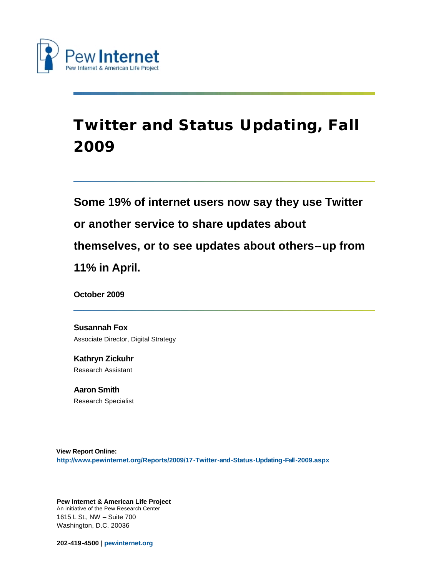

# **Twitter and Status Updating, Fall 2009**

# **Some 19% of internet users now say they use Twitter or another service to share updates about themselves, or to see updates about others--up from 11% in April.**

**October 2009**

**Susannah Fox** Associate Director, Digital Strategy

**Kathryn Zickuhr** Research Assistant

**Aaron Smith** Research Specialist

**View Report Online: <http://www.pewinternet.org/Reports/2009/17-Twitter-and-Status-Updating-Fall-2009.aspx>**

**Pew Internet & American Life Project** An initiative of the Pew Research Center 1615 L St., NW – Suite 700 Washington, D.C. 20036

**202-419-4500** | **[pewinternet.org](http://pewinternet.org/)**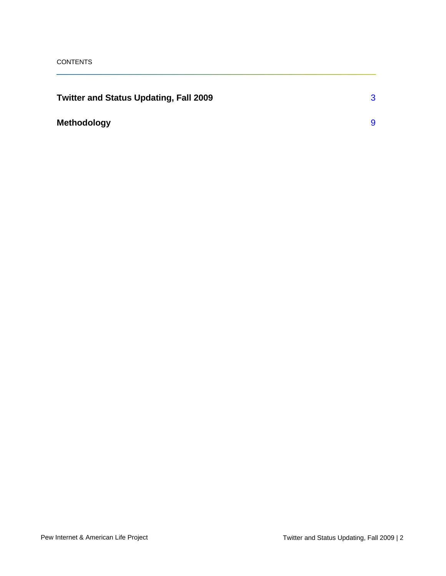| Twitter and Status Updating, Fall 2009 |  |
|----------------------------------------|--|
| <b>Methodology</b>                     |  |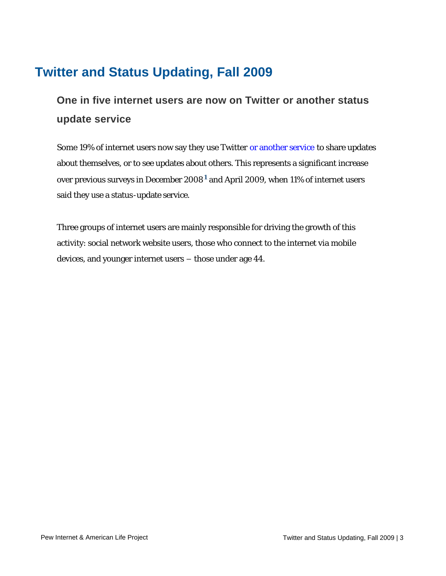## <span id="page-2-0"></span>**Twitter and Status Updating, Fall 2009**

## **One in five internet users are now on Twitter or another status update service**

Some 19% of internet users now say they use Twitter [or another service](http://www.pewinternet.org/Commentary/2009/October/The-Twitter-Question.aspx) to share updates about themselves, or to see updates about others. This represents a significant increase over previous surveys in December 2008**[1](#page-11-0)** and April 2009, when 11% of internet users said they use a status-update service.

Three groups of internet users are mainly responsible for driving the growth of this activity: social network website users, those who connect to the internet via mobile devices, and younger internet users – those under age 44.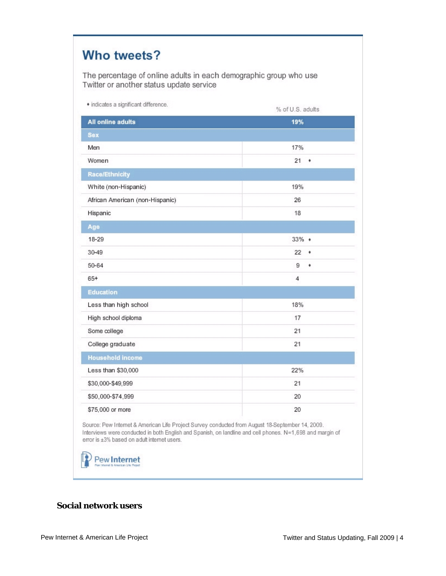| The percentage of online adults in each demographic group who use<br>Twitter or another status update service |                  |
|---------------------------------------------------------------------------------------------------------------|------------------|
| • indicates a significant difference.                                                                         | % of U.S. adults |
| <b>All online adults</b>                                                                                      | 19%              |
| <b>Sex</b>                                                                                                    |                  |
| Men                                                                                                           | 17%              |
| Women                                                                                                         | 21<br>$\bullet$  |
| <b>Race/Ethnicity</b>                                                                                         |                  |
| White (non-Hispanic)                                                                                          | 19%              |
| African American (non-Hispanic)                                                                               | 26               |
| Hispanic                                                                                                      | 18               |
| Age                                                                                                           |                  |
| $18 - 29$                                                                                                     | $33\% +$         |
| 30-49                                                                                                         | 22<br>٠          |
| 50-64                                                                                                         | 9<br>٠           |
| 65+                                                                                                           | 4                |
| <b>Education</b>                                                                                              |                  |
| Less than high school                                                                                         | 18%              |
| High school diploma                                                                                           | 17               |
| Some college                                                                                                  | 21               |
| College graduate                                                                                              | 21               |
| <b>Household income</b>                                                                                       |                  |
| Less than \$30,000                                                                                            | 22%              |
| \$30,000-\$49,999                                                                                             | 21               |
| \$50,000-\$74,999                                                                                             | 20               |
| \$75,000 or more                                                                                              | 20               |

Source: Pew Internet & American Life Project Survey conducted from August 18-September 14, 2009. Interviews were conducted in both English and Spanish, on landline and cell phones. N=1,698 and margin of error is ±3% based on adult internet users.

Pew Internet

#### **Social network users**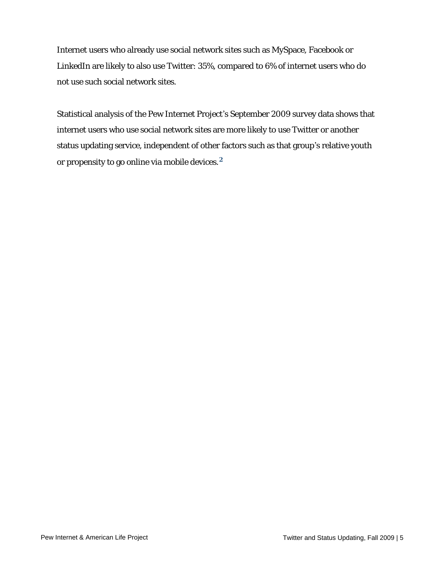Internet users who already use social network sites such as MySpace, Facebook or LinkedIn are likely to also use Twitter: 35%, compared to 6% of internet users who do not use such social network sites.

Statistical analysis of the Pew Internet Project's September 2009 survey data shows that internet users who use social network sites are more likely to use Twitter or another status updating service, independent of other factors such as that group's relative youth or propensity to go online via mobile devices.**[2](#page-11-1)**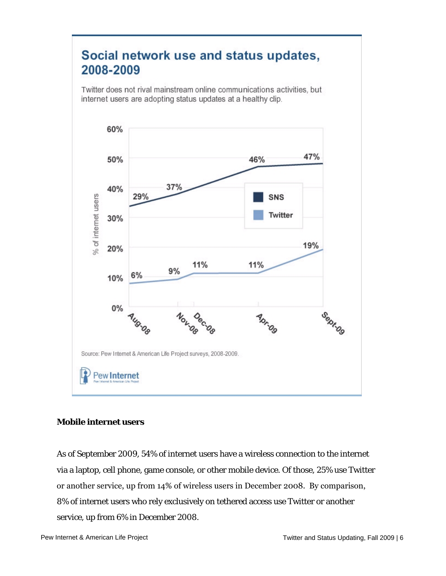## Social network use and status updates, 2008-2009

Twitter does not rival mainstream online communications activities, but internet users are adopting status updates at a healthy clip.



#### **Mobile internet users**

As of September 2009, 54% of internet users have a wireless connection to the internet via a laptop, cell phone, game console, or other mobile device. Of those, 25% use Twitter or another service, up from 14% of wireless users in December 2008. By comparison, 8% of internet users who rely exclusively on tethered access use Twitter or another service, up from 6% in December 2008.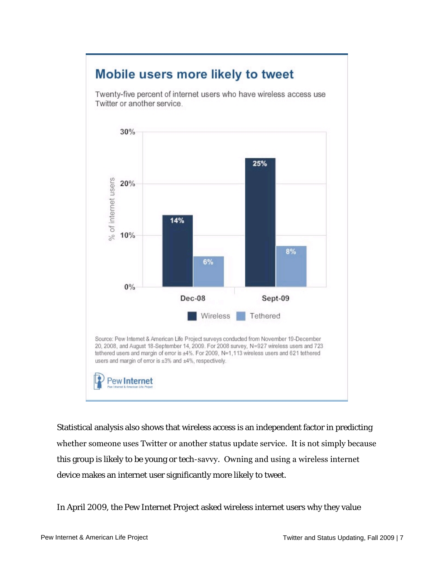

Statistical analysis also shows that wireless access is an independent factor in predicting whether someone uses Twitter or another status update service. It is not simply because this group is likely to be young or tech-savvy. Owning and using a wireless internet device makes an internet user significantly more likely to tweet.

In April 2009, the Pew Internet Project asked wireless internet users why they value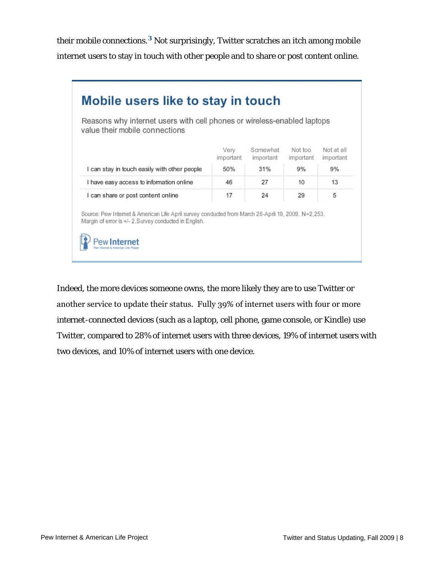their mobile connections.**[3](#page-11-2)** Not surprisingly, Twitter scratches an itch among mobile internet users to stay in touch with other people and to share or post content online.

| Reasons why internet users with cell phones or wireless-enabled laptops<br>value their mobile connections                                                        |                   |                       |                      |                         |
|------------------------------------------------------------------------------------------------------------------------------------------------------------------|-------------------|-----------------------|----------------------|-------------------------|
|                                                                                                                                                                  | Very<br>important | Somewhat<br>important | Not too<br>important | Not at all<br>important |
| I can stay in touch easily with other people                                                                                                                     | 50%               | 31%                   | 9%                   | 9%                      |
| I have easy access to information online                                                                                                                         | 46                | 27                    | 10                   | 13                      |
| I can share or post content online                                                                                                                               | 17                | 24                    | 29                   | 5                       |
| .52,253. Source: Pew Internet & American Life April survey conducted from March 26-April 19, 2009. N=2<br>Margin of error is +/- 2. Survey conducted in English. |                   |                       |                      |                         |

Indeed, the more devices someone owns, the more likely they are to use Twitter or another service to update their status. Fully 39% of internet users with four or more internet-connected devices (such as a laptop, cell phone, game console, or Kindle) use Twitter, compared to 28% of internet users with three devices, 19% of internet users with two devices, and 10% of internet users with one device.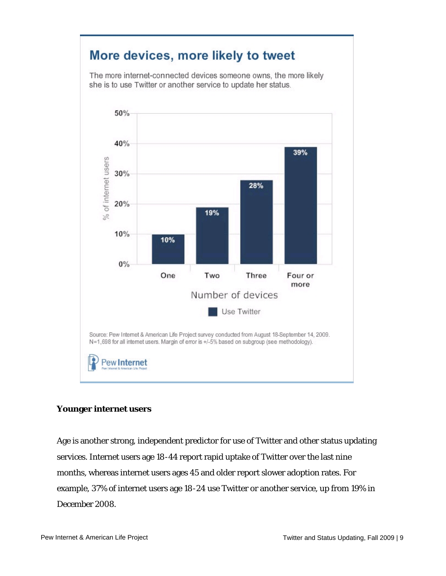

#### **Younger internet users**

Age is another strong, independent predictor for use of Twitter and other status updating services. Internet users age 18-44 report rapid uptake of Twitter over the last nine months, whereas internet users ages 45 and older report slower adoption rates. For example, 37% of internet users age 18-24 use Twitter or another service, up from 19% in December 2008.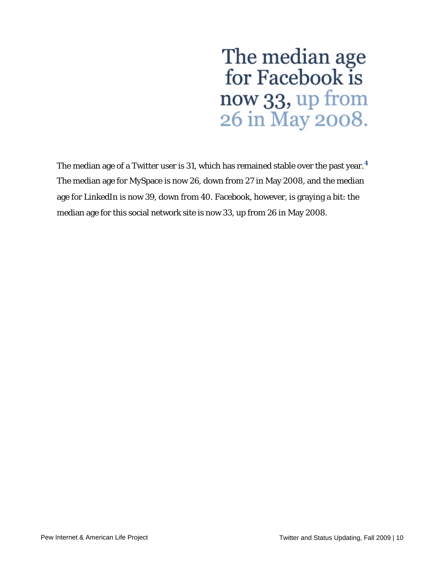# The median age<br>for Facebook is now 33, up from 26 in May 2008.

The median age of a Twitter user is 31, which has remained stable over the past year.**[4](#page-11-3)** The median age for MySpace is now 26, down from 27 in May 2008, and the median age for LinkedIn is now 39, down from 40. Facebook, however, is graying a bit: the median age for this social network site is now 33, up from 26 in May 2008.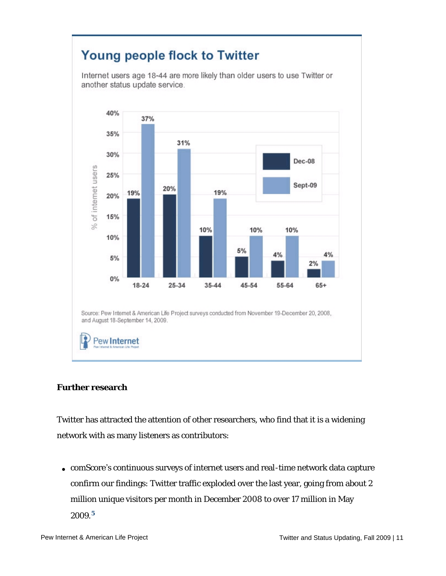

#### **Further research**

Twitter has attracted the attention of other researchers, who find that it is a widening network with as many listeners as contributors:

• comScore's continuous surveys of internet users and real-time network data capture confirm our findings: Twitter traffic exploded over the last year, going from about 2 million unique visitors per month in December 2008 to over 17 million in May 2009.**[5](#page-11-4)**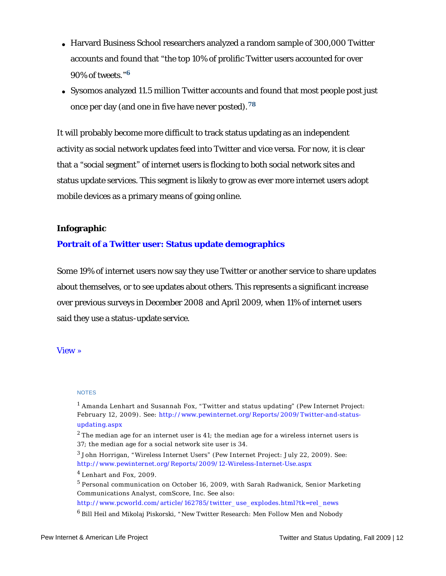- Harvard Business School researchers analyzed a random sample of 300,000 Twitter accounts and found that "the top 10% of prolific Twitter users accounted for over 90% of tweets." **[6](#page-11-5)**
- Sysomos analyzed 11.5 million Twitter accounts and found that most people post just once per day (and one in five have never posted).**[7](#page-12-0)[8](#page-12-1)**

It will probably become more difficult to track status updating as an independent activity as social network updates feed into Twitter and vice versa. For now, it is clear that a "social segment" of internet users is flocking to both social network sites and status update services. This segment is likely to grow as ever more internet users adopt mobile devices as a primary means of going online.

#### **Infographic**

#### **[Portrait of a Twitter user: Status update demographics](http://www.pewinternet.org/Infographics/Twitter-demographics--Fall-2009.aspx)**

Some 19% of internet users now say they use Twitter or another service to share updates about themselves, or to see updates about others. This represents a significant increase over previous surveys in December 2008 and April 2009, when 11% of internet users said they use a status-update service.

#### [View](http://www.pewinternet.org/~/media/Infographics/Report%20Infographics/2009/17%20-%20Twitter%20-%20Fall%202009/Demographics%20-%20Full.jpg) »

#### NOTES

<span id="page-11-0"></span><sup>1</sup> Amanda Lenhart and Susannah Fox, "Twitter and status updating" (Pew Internet Project: [February 12, 2009\). See: http://www.pewinternet.org/Reports/2009/Twitter-and-status](http://www.pewinternet.org/Reports/2009/Twitter-and-status-updating.aspx)updating.aspx

<span id="page-11-1"></span> $^2$  The median age for an internet user is 41; the median age for a wireless internet users is 37; the median age for a social network site user is 34.

<span id="page-11-2"></span> $^3$  John Horrigan, "Wireless Internet Users" (Pew Internet Project: July 22, 2009). See: <http://www.pewinternet.org/Reports/2009/12-Wireless-Internet-Use.aspx>

<span id="page-11-3"></span> $^4$  Lenhart and Fox, 2009.

<span id="page-11-4"></span><sup>5</sup> Personal communication on October 16, 2009, with Sarah Radwanick, Senior Marketing Communications Analyst, comScore, Inc. See also:

[http://www.pcworld.com/article/162785/twitter\\_use\\_explodes.html?tk=rel\\_news](http://www.pcworld.com/article/162785/twitter_use_explodes.html?tk=rel_news)

<span id="page-11-5"></span> $^6$  Bill Heil and Mikolaj Piskorski, "New Twitter Research: Men Follow Men and Nobody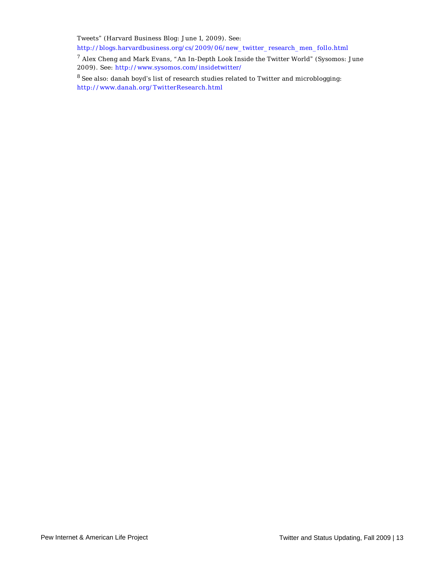Tweets" (Harvard Business Blog: June 1, 2009). See:

[http://blogs.harvardbusiness.org/cs/2009/06/new\\_twitter\\_research\\_men\\_follo.html](http://blogs.harvardbusiness.org/cs/2009/06/new_twitter_research_men_follo.html)

<span id="page-12-0"></span> $^7$  Alex Cheng and Mark Evans, "An In-Depth Look Inside the Twitter World" (Sysomos: June 2009). See: <http://www.sysomos.com/insidetwitter/>

<span id="page-12-1"></span> $^8$  See also: danah boyd's list of research studies related to Twitter and microblogging: <http://www.danah.org/TwitterResearch.html>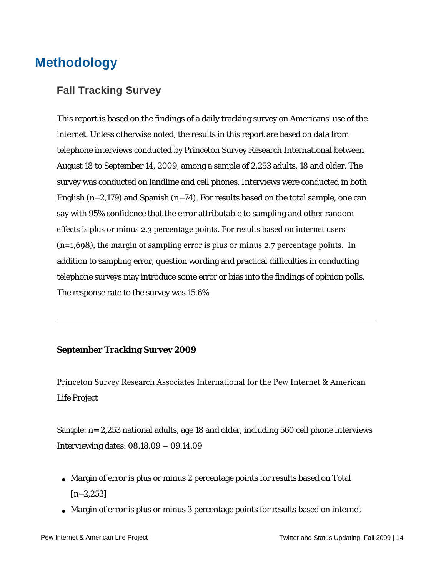## <span id="page-13-0"></span>**Methodology**

#### **Fall Tracking Survey**

This report is based on the findings of a daily tracking survey on Americans' use of the internet. Unless otherwise noted, the results in this report are based on data from telephone interviews conducted by Princeton Survey Research International between August 18 to September 14, 2009, among a sample of 2,253 adults, 18 and older. The survey was conducted on landline and cell phones. Interviews were conducted in both English  $(n=2,179)$  and Spanish  $(n=74)$ . For results based on the total sample, one can say with 95% confidence that the error attributable to sampling and other random effects is plus or minus 2.3 percentage points. For results based on internet users (n=1,698), the margin of sampling error is plus or minus 2.7 percentage points. In addition to sampling error, question wording and practical difficulties in conducting telephone surveys may introduce some error or bias into the findings of opinion polls. The response rate to the survey was 15.6%.

#### **September Tracking Survey 2009**

Princeton Survey Research Associates International for the Pew Internet & American Life Project

Sample: n= 2,253 national adults, age 18 and older, including 560 cell phone interviews Interviewing dates: 08.18.09 – 09.14.09

- Margin of error is plus or minus 2 percentage points for results based on Total  $[n=2,253]$
- Margin of error is plus or minus 3 percentage points for results based on internet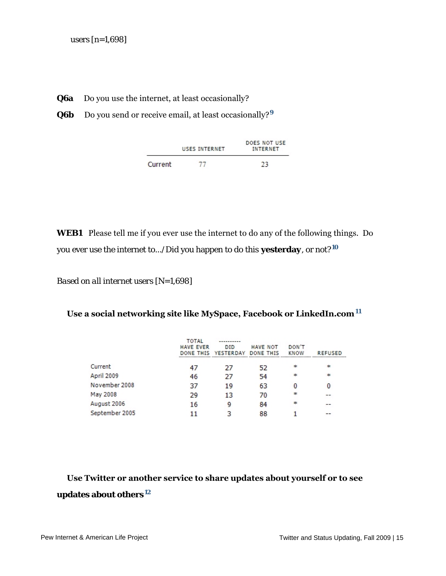- **Q6a** Do you use the internet, at least occasionally?
- **Q6b** Do you send or receive email, at least occasionally?**[9](#page-15-0)**

|         | USES INTERNET | DOES NOT USE<br>INTERNET |  |  |
|---------|---------------|--------------------------|--|--|
| Current | 77            | 23                       |  |  |

**WEB1** Please tell me if you ever use the internet to do any of the following things. Do you ever use the internet to.../Did you happen to do this **yesterday**, or not?**[10](#page-15-1)**

*Based on all internet users [N=1,698]*

#### **Use a social networking site like MySpace, Facebook or LinkedIn.com[11](#page-15-2)**

|                | TOTAL<br><b>HAVE EVER</b><br><b>DONE THIS</b> | ----------<br><b>DID</b><br><b>YESTERDAY</b> | <b>HAVE NOT</b><br><b>DONE THIS</b> | DON'T<br><b>KNOW</b> | <b>REFUSED</b> |
|----------------|-----------------------------------------------|----------------------------------------------|-------------------------------------|----------------------|----------------|
| Current        |                                               | 27                                           | 52                                  | $\mathbf{R}$         | $\ast$         |
| April 2009     | 46                                            | 27                                           | 54                                  | $\mathbf{R}$         | $\ast$         |
| November 2008  | 37                                            | 19                                           | 63                                  |                      | 0              |
| May 2008       | 29                                            | 13                                           | 70                                  | $\ast$               |                |
| August 2006    | 16                                            | Q                                            | 84                                  | $\ast$               | --             |
| September 2005 |                                               |                                              | 88                                  |                      | --             |

### **Use Twitter or another service to share updates about yourself or to see updates about others[12](#page-15-3)**